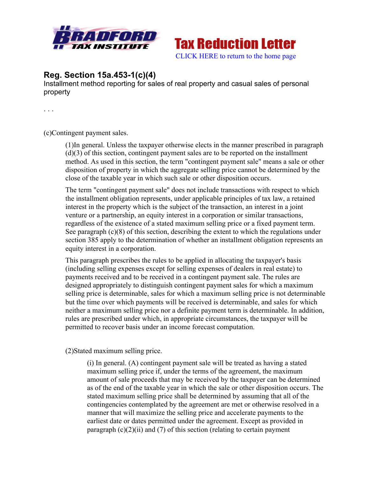



## **Reg. Section 15a.453-1(c)(4)**

Installment method reporting for sales of real property and casual sales of personal property

. . .

(c)Contingent payment sales.

(1)In general. Unless the taxpayer otherwise elects in the manner prescribed in paragraph (d)(3) of this section, contingent payment sales are to be reported on the installment method. As used in this section, the term "contingent payment sale" means a sale or other disposition of property in which the aggregate selling price cannot be determined by the close of the taxable year in which such sale or other disposition occurs.

The term "contingent payment sale" does not include transactions with respect to which the installment obligation represents, under applicable principles of tax law, a retained interest in the property which is the subject of the transaction, an interest in a joint venture or a partnership, an equity interest in a corporation or similar transactions, regardless of the existence of a stated maximum selling price or a fixed payment term. See paragraph (c)(8) of this section, describing the extent to which the regulations under section 385 apply to the determination of whether an installment obligation represents an equity interest in a corporation.

This paragraph prescribes the rules to be applied in allocating the taxpayer's basis (including selling expenses except for selling expenses of dealers in real estate) to payments received and to be received in a contingent payment sale. The rules are designed appropriately to distinguish contingent payment sales for which a maximum selling price is determinable, sales for which a maximum selling price is not determinable but the time over which payments will be received is determinable, and sales for which neither a maximum selling price nor a definite payment term is determinable. In addition, rules are prescribed under which, in appropriate circumstances, the taxpayer will be permitted to recover basis under an income forecast computation.

(2)Stated maximum selling price.

(i) In general. (A) contingent payment sale will be treated as having a stated maximum selling price if, under the terms of the agreement, the maximum amount of sale proceeds that may be received by the taxpayer can be determined as of the end of the taxable year in which the sale or other disposition occurs. The stated maximum selling price shall be determined by assuming that all of the contingencies contemplated by the agreement are met or otherwise resolved in a manner that will maximize the selling price and accelerate payments to the earliest date or dates permitted under the agreement. Except as provided in paragraph  $(c)(2)(ii)$  and  $(7)$  of this section (relating to certain payment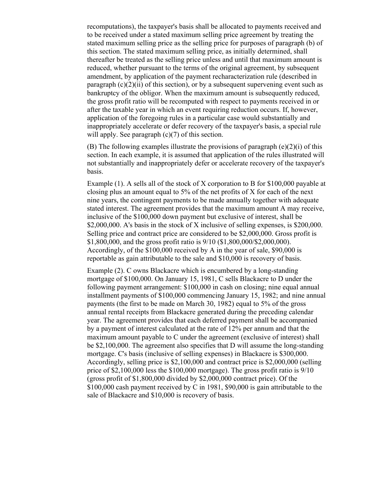recomputations), the taxpayer's basis shall be allocated to payments received and to be received under a stated maximum selling price agreement by treating the stated maximum selling price as the selling price for purposes of paragraph (b) of this section. The stated maximum selling price, as initially determined, shall thereafter be treated as the selling price unless and until that maximum amount is reduced, whether pursuant to the terms of the original agreement, by subsequent amendment, by application of the payment recharacterization rule (described in paragraph  $(c)(2)(ii)$  of this section), or by a subsequent supervening event such as bankruptcy of the obligor. When the maximum amount is subsequently reduced, the gross profit ratio will be recomputed with respect to payments received in or after the taxable year in which an event requiring reduction occurs. If, however, application of the foregoing rules in a particular case would substantially and inappropriately accelerate or defer recovery of the taxpayer's basis, a special rule will apply. See paragraph  $(c)(7)$  of this section.

(B) The following examples illustrate the provisions of paragraph (e)(2)(i) of this section. In each example, it is assumed that application of the rules illustrated will not substantially and inappropriately defer or accelerate recovery of the taxpayer's basis.

Example (1). A sells all of the stock of X corporation to B for \$100,000 payable at closing plus an amount equal to 5% of the net profits of X for each of the next nine years, the contingent payments to be made annually together with adequate stated interest. The agreement provides that the maximum amount A may receive, inclusive of the \$100,000 down payment but exclusive of interest, shall be \$2,000,000. A's basis in the stock of X inclusive of selling expenses, is \$200,000. Selling price and contract price are considered to be \$2,000,000. Gross profit is \$1,800,000, and the gross profit ratio is 9/10 (\$1,800,000/\$2,000,000). Accordingly, of the \$100,000 received by A in the year of sale, \$90,000 is reportable as gain attributable to the sale and \$10,000 is recovery of basis.

Example (2). C owns Blackacre which is encumbered by a long-standing mortgage of \$100,000. On January 15, 1981, C sells Blackacre to D under the following payment arrangement: \$100,000 in cash on closing; nine equal annual installment payments of \$100,000 commencing January 15, 1982; and nine annual payments (the first to be made on March 30, 1982) equal to 5% of the gross annual rental receipts from Blackacre generated during the preceding calendar year. The agreement provides that each deferred payment shall be accompanied by a payment of interest calculated at the rate of 12% per annum and that the maximum amount payable to C under the agreement (exclusive of interest) shall be \$2,100,000. The agreement also specifies that D will assume the long-standing mortgage. C's basis (inclusive of selling expenses) in Blackacre is \$300,000. Accordingly, selling price is \$2,100,000 and contract price is \$2,000,000 (selling price of \$2,100,000 less the \$100,000 mortgage). The gross profit ratio is 9/10 (gross profit of \$1,800,000 divided by \$2,000,000 contract price). Of the \$100,000 cash payment received by C in 1981, \$90,000 is gain attributable to the sale of Blackacre and \$10,000 is recovery of basis.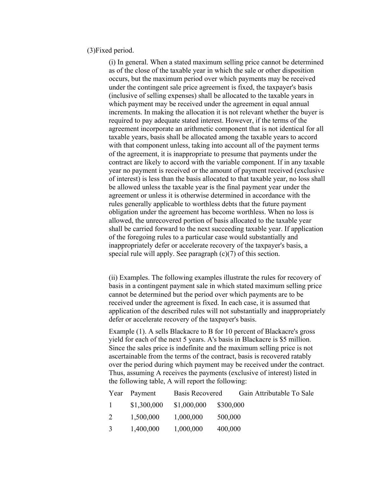## (3)Fixed period.

(i) In general. When a stated maximum selling price cannot be determined as of the close of the taxable year in which the sale or other disposition occurs, but the maximum period over which payments may be received under the contingent sale price agreement is fixed, the taxpayer's basis (inclusive of selling expenses) shall be allocated to the taxable years in which payment may be received under the agreement in equal annual increments. In making the allocation it is not relevant whether the buyer is required to pay adequate stated interest. However, if the terms of the agreement incorporate an arithmetic component that is not identical for all taxable years, basis shall be allocated among the taxable years to accord with that component unless, taking into account all of the payment terms of the agreement, it is inappropriate to presume that payments under the contract are likely to accord with the variable component. If in any taxable year no payment is received or the amount of payment received (exclusive of interest) is less than the basis allocated to that taxable year, no loss shall be allowed unless the taxable year is the final payment year under the agreement or unless it is otherwise determined in accordance with the rules generally applicable to worthless debts that the future payment obligation under the agreement has become worthless. When no loss is allowed, the unrecovered portion of basis allocated to the taxable year shall be carried forward to the next succeeding taxable year. If application of the foregoing rules to a particular case would substantially and inappropriately defer or accelerate recovery of the taxpayer's basis, a special rule will apply. See paragraph (c)(7) of this section.

(ii) Examples. The following examples illustrate the rules for recovery of basis in a contingent payment sale in which stated maximum selling price cannot be determined but the period over which payments are to be received under the agreement is fixed. In each case, it is assumed that application of the described rules will not substantially and inappropriately defer or accelerate recovery of the taxpayer's basis.

Example (1). A sells Blackacre to B for 10 percent of Blackacre's gross yield for each of the next 5 years. A's basis in Blackacre is \$5 million. Since the sales price is indefinite and the maximum selling price is not ascertainable from the terms of the contract, basis is recovered ratably over the period during which payment may be received under the contract. Thus, assuming A receives the payments (exclusive of interest) listed in the following table, A will report the following:

|                | Year Payment | Basis Recovered |           | Gain Attributable To Sale |
|----------------|--------------|-----------------|-----------|---------------------------|
| $1 -$          | \$1,300,000  | \$1,000,000     | \$300,000 |                           |
| 2              | 1,500,000    | 1,000,000       | 500,000   |                           |
| $\mathfrak{Z}$ | 1,400,000    | 1,000,000       | 400,000   |                           |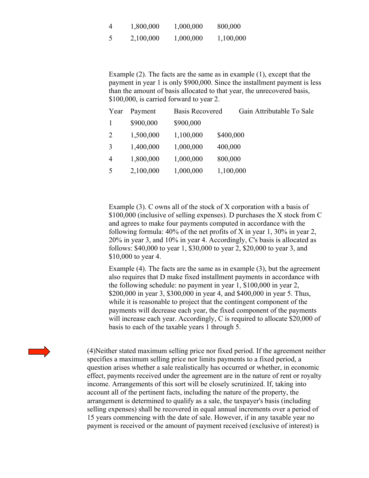| $\overline{4}$ | 1,800,000 | 1,000,000 | 800,000   |
|----------------|-----------|-----------|-----------|
| 5              | 2,100,000 | 1,000,000 | 1,100,000 |

Example (2). The facts are the same as in example (1), except that the payment in year 1 is only \$900,000. Since the installment payment is less than the amount of basis allocated to that year, the unrecovered basis, \$100,000, is carried forward to year 2.

| Year           | Payment   | <b>Basis Recovered</b> | Gain Attributable To Sale |
|----------------|-----------|------------------------|---------------------------|
|                | \$900,000 | \$900,000              |                           |
| $\overline{2}$ | 1,500,000 | 1,100,000              | \$400,000                 |
| 3              | 1,400,000 | 1,000,000              | 400,000                   |
| 4              | 1,800,000 | 1,000,000              | 800,000                   |
| 5              | 2,100,000 | 1,000,000              | 1,100,000                 |

Example (3). C owns all of the stock of X corporation with a basis of \$100,000 (inclusive of selling expenses). D purchases the X stock from C and agrees to make four payments computed in accordance with the following formula: 40% of the net profits of X in year 1, 30% in year 2, 20% in year 3, and 10% in year 4. Accordingly, C's basis is allocated as follows: \$40,000 to year 1, \$30,000 to year 2, \$20,000 to year 3, and \$10,000 to year 4.

Example (4). The facts are the same as in example (3), but the agreement also requires that D make fixed installment payments in accordance with the following schedule: no payment in year 1, \$100,000 in year 2, \$200,000 in year 3, \$300,000 in year 4, and \$400,000 in year 5. Thus, while it is reasonable to project that the contingent component of the payments will decrease each year, the fixed component of the payments will increase each year. Accordingly, C is required to allocate \$20,000 of basis to each of the taxable years 1 through 5.

(4)Neither stated maximum selling price nor fixed period. If the agreement neither specifies a maximum selling price nor limits payments to a fixed period, a question arises whether a sale realistically has occurred or whether, in economic effect, payments received under the agreement are in the nature of rent or royalty income. Arrangements of this sort will be closely scrutinized. If, taking into account all of the pertinent facts, including the nature of the property, the arrangement is determined to qualify as a sale, the taxpayer's basis (including selling expenses) shall be recovered in equal annual increments over a period of 15 years commencing with the date of sale. However, if in any taxable year no payment is received or the amount of payment received (exclusive of interest) is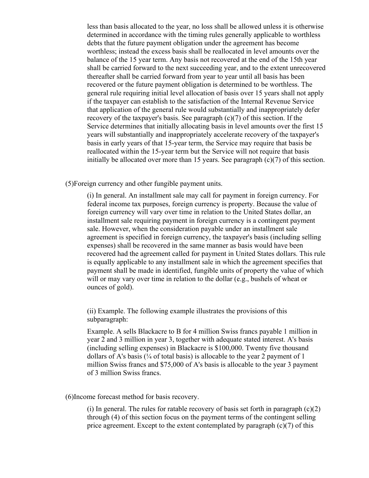less than basis allocated to the year, no loss shall be allowed unless it is otherwise determined in accordance with the timing rules generally applicable to worthless debts that the future payment obligation under the agreement has become worthless; instead the excess basis shall be reallocated in level amounts over the balance of the 15 year term. Any basis not recovered at the end of the 15th year shall be carried forward to the next succeeding year, and to the extent unrecovered thereafter shall be carried forward from year to year until all basis has been recovered or the future payment obligation is determined to be worthless. The general rule requiring initial level allocation of basis over 15 years shall not apply if the taxpayer can establish to the satisfaction of the Internal Revenue Service that application of the general rule would substantially and inappropriately defer recovery of the taxpayer's basis. See paragraph (c)(7) of this section. If the Service determines that initially allocating basis in level amounts over the first 15 years will substantially and inappropriately accelerate recovery of the taxpayer's basis in early years of that 15-year term, the Service may require that basis be reallocated within the 15-year term but the Service will not require that basis initially be allocated over more than 15 years. See paragraph (c)(7) of this section.

(5)Foreign currency and other fungible payment units.

(i) In general. An installment sale may call for payment in foreign currency. For federal income tax purposes, foreign currency is property. Because the value of foreign currency will vary over time in relation to the United States dollar, an installment sale requiring payment in foreign currency is a contingent payment sale. However, when the consideration payable under an installment sale agreement is specified in foreign currency, the taxpayer's basis (including selling expenses) shall be recovered in the same manner as basis would have been recovered had the agreement called for payment in United States dollars. This rule is equally applicable to any installment sale in which the agreement specifies that payment shall be made in identified, fungible units of property the value of which will or may vary over time in relation to the dollar (e.g., bushels of wheat or ounces of gold).

(ii) Example. The following example illustrates the provisions of this subparagraph:

Example. A sells Blackacre to B for 4 million Swiss francs payable 1 million in year 2 and 3 million in year 3, together with adequate stated interest. A's basis (including selling expenses) in Blackacre is \$100,000. Twenty five thousand dollars of A's basis  $(\frac{1}{4}$  of total basis) is allocable to the year 2 payment of 1 million Swiss francs and \$75,000 of A's basis is allocable to the year 3 payment of 3 million Swiss francs.

(6)Income forecast method for basis recovery.

(i) In general. The rules for ratable recovery of basis set forth in paragraph  $(c)(2)$ through (4) of this section focus on the payment terms of the contingent selling price agreement. Except to the extent contemplated by paragraph  $(c)(7)$  of this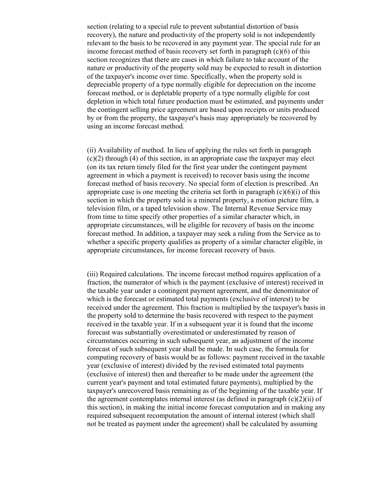section (relating to a special rule to prevent substantial distortion of basis recovery), the nature and productivity of the property sold is not independently relevant to the basis to be recovered in any payment year. The special rule for an income forecast method of basis recovery set forth in paragraph (c)(6) of this section recognizes that there are cases in which failure to take account of the nature or productivity of the property sold may be expected to result in distortion of the taxpayer's income over time. Specifically, when the property sold is depreciable property of a type normally eligible for depreciation on the income forecast method, or is depletable property of a type normally eligible for cost depletion in which total future production must be estimated, and payments under the contingent selling price agreement are based upon receipts or units produced by or from the property, the taxpayer's basis may appropriately be recovered by using an income forecast method.

(ii) Availability of method. In lieu of applying the rules set forth in paragraph  $(c)(2)$  through (4) of this section, in an appropriate case the taxpayer may elect (on its tax return timely filed for the first year under the contingent payment agreement in which a payment is received) to recover basis using the income forecast method of basis recovery. No special form of election is prescribed. An appropriate case is one meeting the criteria set forth in paragraph  $(c)(6)(i)$  of this section in which the property sold is a mineral property, a motion picture film, a television film, or a taped television show. The Internal Revenue Service may from time to time specify other properties of a similar character which, in appropriate circumstances, will be eligible for recovery of basis on the income forecast method. In addition, a taxpayer may seek a ruling from the Service as to whether a specific property qualifies as property of a similar character eligible, in appropriate circumstances, for income forecast recovery of basis.

(iii) Required calculations. The income forecast method requires application of a fraction, the numerator of which is the payment (exclusive of interest) received in the taxable year under a contingent payment agreement, and the denominator of which is the forecast or estimated total payments (exclusive of interest) to be received under the agreement. This fraction is multiplied by the taxpayer's basis in the property sold to determine the basis recovered with respect to the payment received in the taxable year. If in a subsequent year it is found that the income forecast was substantially overestimated or underestimated by reason of circumstances occurring in such subsequent year, an adjustment of the income forecast of such subsequent year shall be made. In such case, the formula for computing recovery of basis would be as follows: payment received in the taxable year (exclusive of interest) divided by the revised estimated total payments (exclusive of interest) then and thereafter to be made under the agreement (the current year's payment and total estimated future payments), multiplied by the taxpayer's unrecovered basis remaining as of the beginning of the taxable year. If the agreement contemplates internal interest (as defined in paragraph (c)(2)(ii) of this section), in making the initial income forecast computation and in making any required subsequent recomputation the amount of internal interest (which shall not be treated as payment under the agreement) shall be calculated by assuming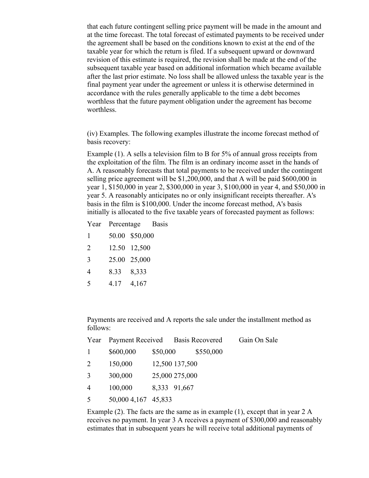that each future contingent selling price payment will be made in the amount and at the time forecast. The total forecast of estimated payments to be received under the agreement shall be based on the conditions known to exist at the end of the taxable year for which the return is filed. If a subsequent upward or downward revision of this estimate is required, the revision shall be made at the end of the subsequent taxable year based on additional information which became available after the last prior estimate. No loss shall be allowed unless the taxable year is the final payment year under the agreement or unless it is otherwise determined in accordance with the rules generally applicable to the time a debt becomes worthless that the future payment obligation under the agreement has become worthless.

(iv) Examples. The following examples illustrate the income forecast method of basis recovery:

Example (1). A sells a television film to B for 5% of annual gross receipts from the exploitation of the film. The film is an ordinary income asset in the hands of A. A reasonably forecasts that total payments to be received under the contingent selling price agreement will be \$1,200,000, and that A will be paid \$600,000 in year 1, \$150,000 in year 2, \$300,000 in year 3, \$100,000 in year 4, and \$50,000 in year 5. A reasonably anticipates no or only insignificant receipts thereafter. A's basis in the film is \$100,000. Under the income forecast method, A's basis initially is allocated to the five taxable years of forecasted payment as follows:

Year Percentage Basis

- 1 50.00 \$50,000
- 2 12.50 12,500
- 3 25.00 25,000
- 4 8.33 8,333
- 5 4.17 4,167

Payments are received and A reports the sale under the installment method as follows:

| Year           | Payment Received Basis Recovered |                |                |           | Gain On Sale |
|----------------|----------------------------------|----------------|----------------|-----------|--------------|
| 1              | \$600,000                        | \$50,000       |                | \$550,000 |              |
| $\overline{2}$ | 150,000                          |                | 12,500 137,500 |           |              |
| 3              | 300,000                          | 25,000 275,000 |                |           |              |
| 4              | 100,000                          |                | 8,333 91,667   |           |              |
| 5              | 50,000 4,167 45,833              |                |                |           |              |

Example (2). The facts are the same as in example (1), except that in year 2 A receives no payment. In year 3 A receives a payment of \$300,000 and reasonably estimates that in subsequent years he will receive total additional payments of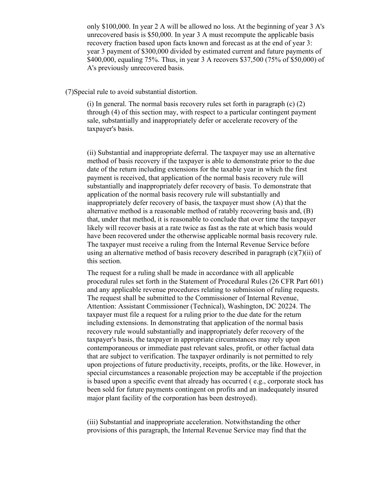only \$100,000. In year 2 A will be allowed no loss. At the beginning of year 3 A's unrecovered basis is \$50,000. In year 3 A must recompute the applicable basis recovery fraction based upon facts known and forecast as at the end of year 3: year 3 payment of \$300,000 divided by estimated current and future payments of \$400,000, equaling 75%. Thus, in year 3 A recovers \$37,500 (75% of \$50,000) of A's previously unrecovered basis.

(7)Special rule to avoid substantial distortion.

(i) In general. The normal basis recovery rules set forth in paragraph (c) (2) through (4) of this section may, with respect to a particular contingent payment sale, substantially and inappropriately defer or accelerate recovery of the taxpayer's basis.

(ii) Substantial and inappropriate deferral. The taxpayer may use an alternative method of basis recovery if the taxpayer is able to demonstrate prior to the due date of the return including extensions for the taxable year in which the first payment is received, that application of the normal basis recovery rule will substantially and inappropriately defer recovery of basis. To demonstrate that application of the normal basis recovery rule will substantially and inappropriately defer recovery of basis, the taxpayer must show (A) that the alternative method is a reasonable method of ratably recovering basis and, (B) that, under that method, it is reasonable to conclude that over time the taxpayer likely will recover basis at a rate twice as fast as the rate at which basis would have been recovered under the otherwise applicable normal basis recovery rule. The taxpayer must receive a ruling from the Internal Revenue Service before using an alternative method of basis recovery described in paragraph (c)(7)(ii) of this section.

The request for a ruling shall be made in accordance with all applicable procedural rules set forth in the Statement of Procedural Rules (26 CFR Part 601) and any applicable revenue procedures relating to submission of ruling requests. The request shall be submitted to the Commissioner of Internal Revenue, Attention: Assistant Commissioner (Technical), Washington, DC 20224. The taxpayer must file a request for a ruling prior to the due date for the return including extensions. In demonstrating that application of the normal basis recovery rule would substantially and inappropriately defer recovery of the taxpayer's basis, the taxpayer in appropriate circumstances may rely upon contemporaneous or immediate past relevant sales, profit, or other factual data that are subject to verification. The taxpayer ordinarily is not permitted to rely upon projections of future productivity, receipts, profits, or the like. However, in special circumstances a reasonable projection may be acceptable if the projection is based upon a specific event that already has occurred ( e.g., corporate stock has been sold for future payments contingent on profits and an inadequately insured major plant facility of the corporation has been destroyed).

(iii) Substantial and inappropriate acceleration. Notwithstanding the other provisions of this paragraph, the Internal Revenue Service may find that the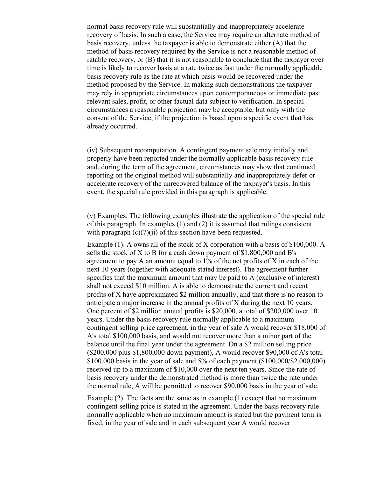normal basis recovery rule will substantially and inappropriately accelerate recovery of basis. In such a case, the Service may require an alternate method of basis recovery, unless the taxpayer is able to demonstrate either (A) that the method of basis recovery required by the Service is not a reasonable method of ratable recovery, or (B) that it is not reasonable to conclude that the taxpayer over time is likely to recover basis at a rate twice as fast under the normally applicable basis recovery rule as the rate at which basis would be recovered under the method proposed by the Service. In making such demonstrations the taxpayer may rely in appropriate circumstances upon contemporaneous or immediate past relevant sales, profit, or other factual data subject to verification. In special circumstances a reasonable projection may be acceptable, but only with the consent of the Service, if the projection is based upon a specific event that has already occurred.

(iv) Subsequent recomputation. A contingent payment sale may initially and properly have been reported under the normally applicable basis recovery rule and, during the term of the agreement, circumstances may show that continued reporting on the original method will substantially and inappropriately defer or accelerate recovery of the unrecovered balance of the taxpayer's basis. In this event, the special rule provided in this paragraph is applicable.

(v) Examples. The following examples illustrate the application of the special rule of this paragraph. In examples (1) and (2) it is assumed that rulings consistent with paragraph  $(c)(7)(ii)$  of this section have been requested.

Example (1). A owns all of the stock of X corporation with a basis of \$100,000. A sells the stock of X to B for a cash down payment of \$1,800,000 and B's agreement to pay A an amount equal to  $1\%$  of the net profits of X in each of the next 10 years (together with adequate stated interest). The agreement further specifies that the maximum amount that may be paid to A (exclusive of interest) shall not exceed \$10 million. A is able to demonstrate the current and recent profits of X have approximated \$2 million annually, and that there is no reason to anticipate a major increase in the annual profits of X during the next 10 years. One percent of \$2 million annual profits is \$20,000, a total of \$200,000 over 10 years. Under the basis recovery rule normally applicable to a maximum contingent selling price agreement, in the year of sale A would recover \$18,000 of A's total \$100,000 basis, and would not recover more than a minor part of the balance until the final year under the agreement. On a \$2 million selling price (\$200,000 plus \$1,800,000 down payment), A would recover \$90,000 of A's total \$100,000 basis in the year of sale and 5% of each payment (\$100,000/\$2,000,000) received up to a maximum of \$10,000 over the next ten years. Since the rate of basis recovery under the demonstrated method is more than twice the rate under the normal rule, A will be permitted to recover \$90,000 basis in the year of sale.

Example (2). The facts are the same as in example (1) except that no maximum contingent selling price is stated in the agreement. Under the basis recovery rule normally applicable when no maximum amount is stated but the payment term is fixed, in the year of sale and in each subsequent year A would recover